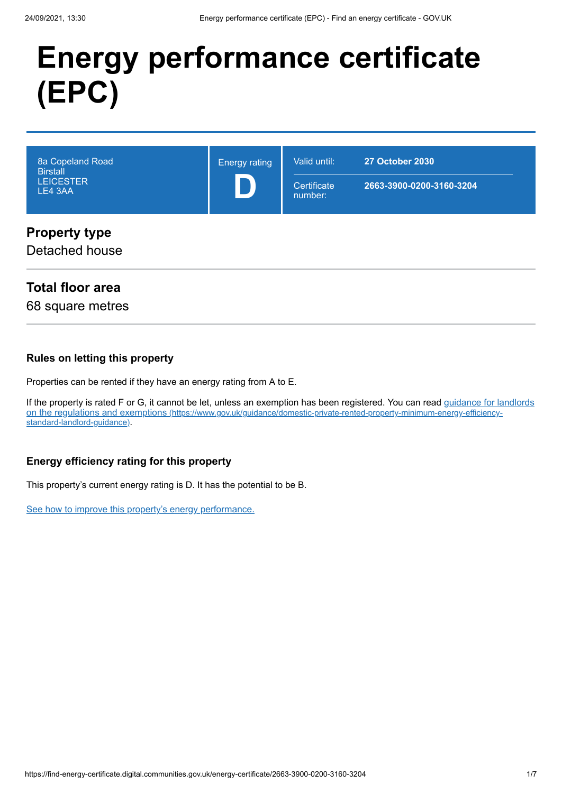# **Energy performance certificate (EPC)**

| 8a Copeland Road<br><b>Birstall</b><br><b>LEICESTER</b><br>LE4 3AA | <b>Energy rating</b> | Valid until:<br>Certificate<br>number: | <b>27 October 2030</b><br>2663-3900-0200-3160-3204 |
|--------------------------------------------------------------------|----------------------|----------------------------------------|----------------------------------------------------|
| <b>Property type</b><br>Detached house                             |                      |                                        |                                                    |

# **Total floor area**

68 square metres

#### **Rules on letting this property**

Properties can be rented if they have an energy rating from A to E.

[If the property is rated F or G, it cannot be let, unless an exemption has been registered. You can read guidance for landlords](https://www.gov.uk/guidance/domestic-private-rented-property-minimum-energy-efficiency-standard-landlord-guidance) on the regulations and exemptions (https://www.gov.uk/guidance/domestic-private-rented-property-minimum-energy-efficiencystandard-landlord-guidance).

## **Energy efficiency rating for this property**

This property's current energy rating is D. It has the potential to be B.

[See how to improve this property's energy performance.](#page-3-0)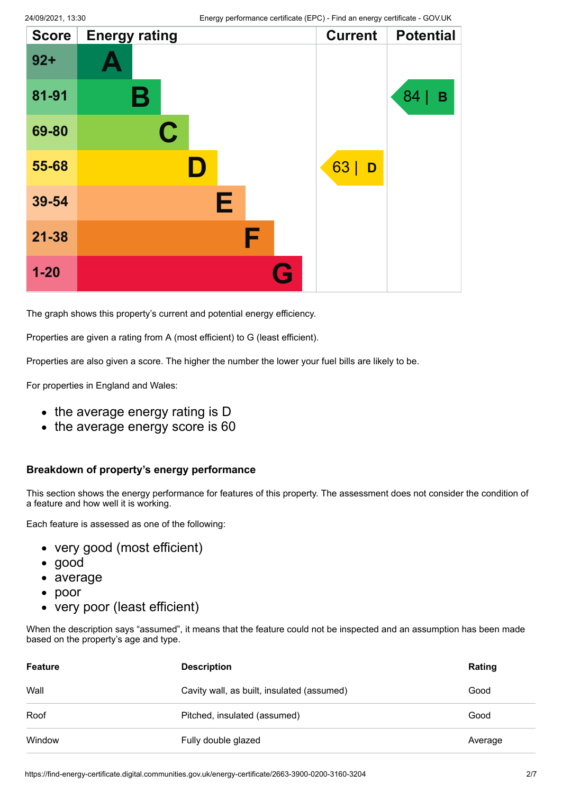| <b>Score</b> | <b>Energy rating</b> |   | <b>Current</b> | <b>Potential</b> |
|--------------|----------------------|---|----------------|------------------|
| $92 +$       |                      |   |                |                  |
| 81-91        | Β                    |   |                | 84<br>B          |
| 69-80        | $\mathbf C$          |   |                |                  |
| 55-68        | D.                   |   | 63<br>D        |                  |
| 39-54        | Е                    |   |                |                  |
| $21 - 38$    | F                    |   |                |                  |
| $1 - 20$     |                      | G |                |                  |

The graph shows this property's current and potential energy efficiency.

Properties are given a rating from A (most efficient) to G (least efficient).

Properties are also given a score. The higher the number the lower your fuel bills are likely to be.

For properties in England and Wales:

- the average energy rating is D
- the average energy score is 60

#### **Breakdown of property's energy performance**

This section shows the energy performance for features of this property. The assessment does not consider the condition of a feature and how well it is working.

Each feature is assessed as one of the following:

- very good (most efficient)
- good
- average
- poor  $\bullet$
- very poor (least efficient)

When the description says "assumed", it means that the feature could not be inspected and an assumption has been made based on the property's age and type.

| <b>Feature</b> | <b>Description</b>                         | Rating  |
|----------------|--------------------------------------------|---------|
| Wall           | Cavity wall, as built, insulated (assumed) | Good    |
| Roof           | Pitched, insulated (assumed)               | Good    |
| Window         | Fully double glazed                        | Average |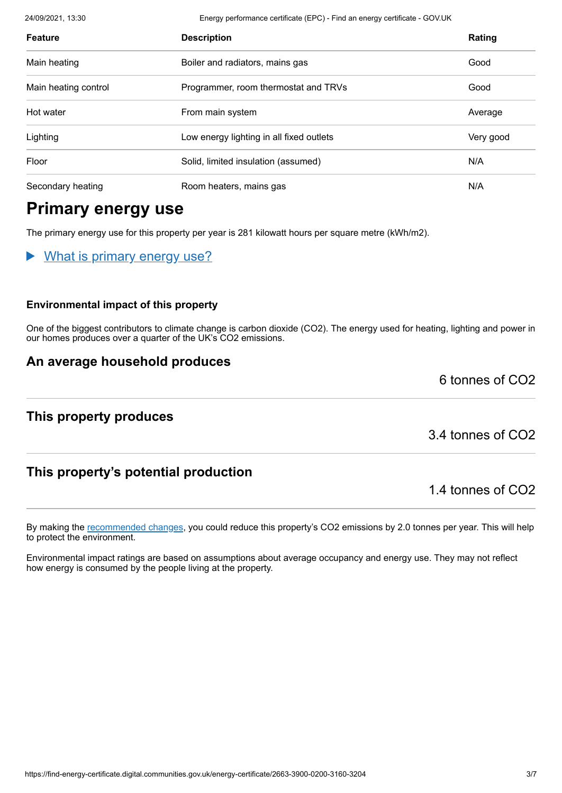24/09/2021, 13:30 Energy performance certificate (EPC) - Find an energy certificate - GOV.UK

| <b>Feature</b>       | <b>Description</b>                       | Rating    |
|----------------------|------------------------------------------|-----------|
| Main heating         | Boiler and radiators, mains gas          | Good      |
| Main heating control | Programmer, room thermostat and TRVs     | Good      |
| Hot water            | From main system                         | Average   |
| Lighting             | Low energy lighting in all fixed outlets | Very good |
| Floor                | Solid, limited insulation (assumed)      | N/A       |
| Secondary heating    | Room heaters, mains gas                  | N/A       |

# **Primary energy use**

The primary energy use for this property per year is 281 kilowatt hours per square metre (kWh/m2).

What is primary energy use?

#### **Environmental impact of this property**

One of the biggest contributors to climate change is carbon dioxide (CO2). The energy used for heating, lighting and power in our homes produces over a quarter of the UK's CO2 emissions.

## **An average household produces**

**This property produces**

3.4 tonnes of CO2

6 tonnes of CO2

# **This property's potential production**

1.4 tonnes of CO2

By making the [recommended changes](#page-3-0), you could reduce this property's CO2 emissions by 2.0 tonnes per year. This will help to protect the environment.

Environmental impact ratings are based on assumptions about average occupancy and energy use. They may not reflect how energy is consumed by the people living at the property.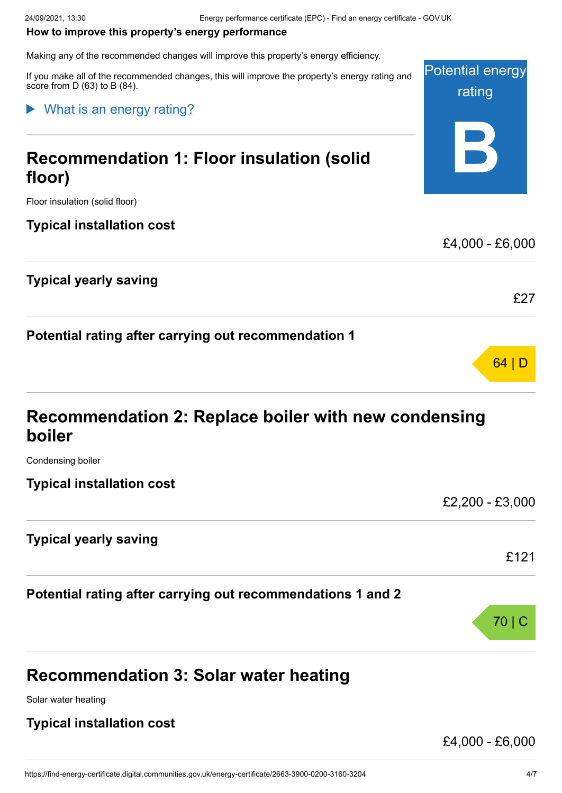#### <span id="page-3-0"></span>**How to improve this property's energy performance**

Making any of the recommended changes will improve this property's energy efficiency.

Potential energy rating **B** If you make all of the recommended changes, this will improve the property's energy rating and score from D (63) to B (84). **Recommendation 1: Floor insulation (solid floor)** Floor insulation (solid floor) **Typical installation cost** £4,000 - £6,000 **Typical yearly saving** £27 **Potential rating after carrying out recommendation 1** What is an energy rating?

# **Recommendation 2: Replace boiler with new condensing boiler**

Condensing boiler

**Typical installation cost**

**Typical yearly saving**

**Potential rating after carrying out recommendations 1 and 2**

# **Recommendation 3: Solar water heating**

Solar water heating

## **Typical installation cost**

£4,000 - £6,000

£2,200 - £3,000

£121

70 | C

64 | D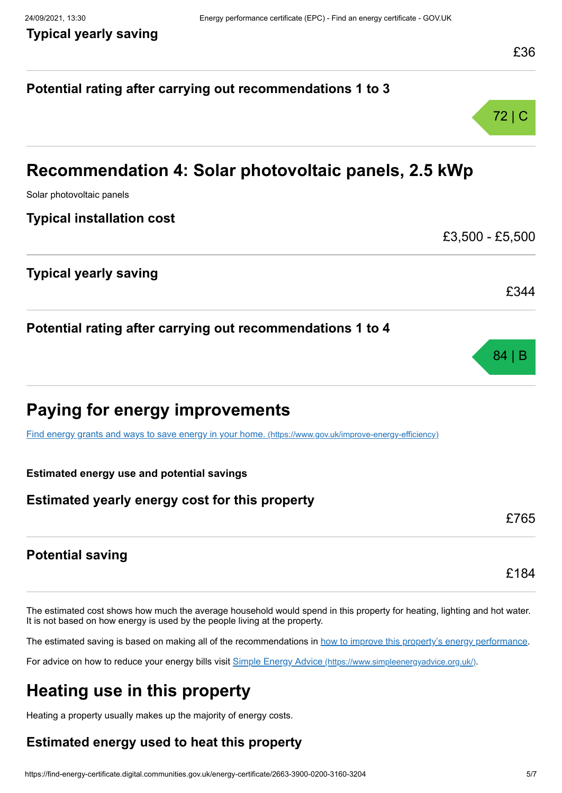# **Potential rating after carrying out recommendations 1 to 3** 72 | C **Recommendation 4: Solar photovoltaic panels, 2.5 kWp** Solar photovoltaic panels **Typical installation cost** £3,500 - £5,500 **Typical yearly saving** £344 **Potential rating after carrying out recommendations 1 to 4** 84 | B **Paying for energy improvements** [Find energy grants and ways to save energy in your home.](https://www.gov.uk/improve-energy-efficiency) (https://www.gov.uk/improve-energy-efficiency) **Estimated energy use and potential savings Estimated yearly energy cost for this property** £765 **Potential saving** £184

The estimated cost shows how much the average household would spend in this property for heating, lighting and hot water. It is not based on how energy is used by the people living at the property.

The estimated saving is based on making all of the recommendations in [how to improve this property's energy performance.](#page-3-0)

For advice on how to reduce your energy bills visit Simple Energy Advice [\(https://www.simpleenergyadvice.org.uk/\)](https://www.simpleenergyadvice.org.uk/).

# **Heating use in this property**

Heating a property usually makes up the majority of energy costs.

# **Estimated energy used to heat this property**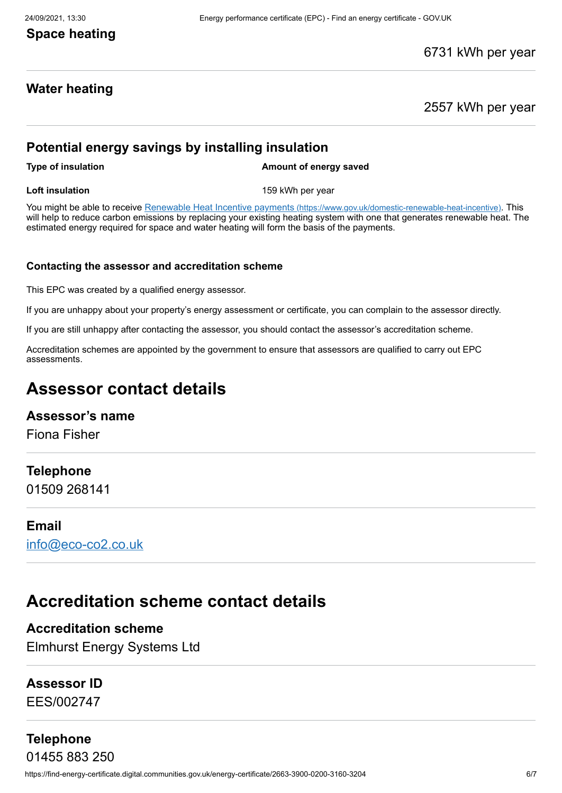# **Space heating**

## 6731 kWh per year

## **Water heating**

2557 kWh per year

# **Potential energy savings by installing insulation**

**Type of insulation Amount of energy saved** 

**Loft insulation** 159 kWh per year

You might be able to receive Renewable Heat Incentive payments [\(https://www.gov.uk/domestic-renewable-heat-incentive\)](https://www.gov.uk/domestic-renewable-heat-incentive). This will help to reduce carbon emissions by replacing your existing heating system with one that generates renewable heat. The estimated energy required for space and water heating will form the basis of the payments.

#### **Contacting the assessor and accreditation scheme**

This EPC was created by a qualified energy assessor.

If you are unhappy about your property's energy assessment or certificate, you can complain to the assessor directly.

If you are still unhappy after contacting the assessor, you should contact the assessor's accreditation scheme.

Accreditation schemes are appointed by the government to ensure that assessors are qualified to carry out EPC assessments.

# **Assessor contact details**

## **Assessor's name**

Fiona Fisher

## **Telephone**

01509 268141

#### **Email**

[info@eco-co2.co.uk](mailto:info@eco-co2.co.uk)

# **Accreditation scheme contact details**

# **Accreditation scheme**

Elmhurst Energy Systems Ltd

## **Assessor ID**

EES/002747

# **Telephone**

https://find-energy-certificate.digital.communities.gov.uk/energy-certificate/2663-3900-0200-3160-3204 6/7 01455 883 250